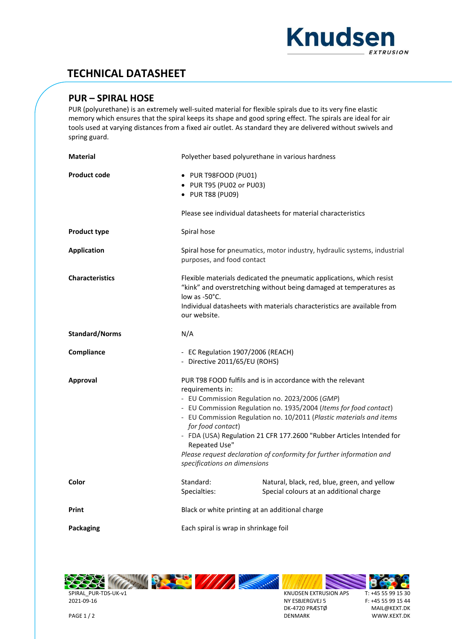

## **TECHNICAL DATASHEET**

## **PUR – SPIRAL HOSE**

PUR (polyurethane) is an extremely well-suited material for flexible spirals due to its very fine elastic memory which ensures that the spiral keeps its shape and good spring effect. The spirals are ideal for air tools used at varying distances from a fixed air outlet. As standard they are delivered without swivels and spring guard.

| <b>Material</b>        | Polyether based polyurethane in various hardness                                                                                                                                                                                                                                                                                                                                                                                                                                                    |                                                                                         |  |  |  |
|------------------------|-----------------------------------------------------------------------------------------------------------------------------------------------------------------------------------------------------------------------------------------------------------------------------------------------------------------------------------------------------------------------------------------------------------------------------------------------------------------------------------------------------|-----------------------------------------------------------------------------------------|--|--|--|
| <b>Product code</b>    | · PUR T98FOOD (PU01)<br>• PUR T95 (PU02 or PU03)<br>• PUR T88 (PU09)                                                                                                                                                                                                                                                                                                                                                                                                                                |                                                                                         |  |  |  |
|                        | Please see individual datasheets for material characteristics                                                                                                                                                                                                                                                                                                                                                                                                                                       |                                                                                         |  |  |  |
| <b>Product type</b>    | Spiral hose                                                                                                                                                                                                                                                                                                                                                                                                                                                                                         |                                                                                         |  |  |  |
| <b>Application</b>     | Spiral hose for pneumatics, motor industry, hydraulic systems, industrial<br>purposes, and food contact                                                                                                                                                                                                                                                                                                                                                                                             |                                                                                         |  |  |  |
| <b>Characteristics</b> | Flexible materials dedicated the pneumatic applications, which resist<br>"kink" and overstretching without being damaged at temperatures as<br>low as $-50^{\circ}$ C.<br>Individual datasheets with materials characteristics are available from<br>our website.                                                                                                                                                                                                                                   |                                                                                         |  |  |  |
| <b>Standard/Norms</b>  | N/A                                                                                                                                                                                                                                                                                                                                                                                                                                                                                                 |                                                                                         |  |  |  |
| Compliance             | - EC Regulation 1907/2006 (REACH)<br>- Directive 2011/65/EU (ROHS)                                                                                                                                                                                                                                                                                                                                                                                                                                  |                                                                                         |  |  |  |
| Approval               | PUR T98 FOOD fulfils and is in accordance with the relevant<br>requirements in:<br>- EU Commission Regulation no. 2023/2006 (GMP)<br>- EU Commission Regulation no. 1935/2004 (Items for food contact)<br>- EU Commission Regulation no. 10/2011 (Plastic materials and items<br>for food contact)<br>- FDA (USA) Regulation 21 CFR 177.2600 "Rubber Articles Intended for<br>Repeated Use"<br>Please request declaration of conformity for further information and<br>specifications on dimensions |                                                                                         |  |  |  |
|                        |                                                                                                                                                                                                                                                                                                                                                                                                                                                                                                     |                                                                                         |  |  |  |
| Color                  | Standard:<br>Specialties:                                                                                                                                                                                                                                                                                                                                                                                                                                                                           | Natural, black, red, blue, green, and yellow<br>Special colours at an additional charge |  |  |  |
| Print                  | Black or white printing at an additional charge                                                                                                                                                                                                                                                                                                                                                                                                                                                     |                                                                                         |  |  |  |



KNUDSEN EXTRUSION APS NY ESBJERGVEJ 5 DK-4720 PRÆSTØ DENMARK